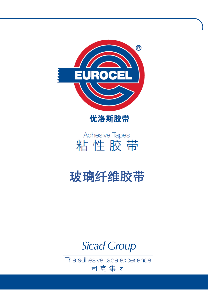



# **Adhesive Tapes** 粘性胶带

# **玻璃纤维胶带**

**Sicad Group** 

The adhesive tape experience 司克集团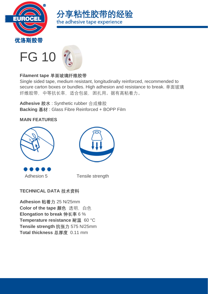





# **Filament tape 单面玻璃纤维胶带**

Single sided tape, medium resistant, longitudinally reinforced, recommended to secure carton boxes or bundles. High adhesion and resistance to break. 单面玻璃 纤维胶带,中等抗长率,适合包装,困扎用。据有高粘着力。

**Adhesive 胶水** : Synthetic rubber 合成橡胶 **Backing 基材** : Glass Fibre Reinforced + BOPP Film

#### **MAIN FEATURES**





Adhesion 5 Tensile strength

# **TECHNICAL DATA 技术资料**

**Adhesion 粘着力** 25 N/25mm **Color of the tape 颜色** 透明,白色 **Elongation to break 伸长率** 6 % **Temperature resistance 耐温** 60 °C **Tensile strength 抗张力** 575 N/25mm **Total thickness 总厚度** 0.11 mm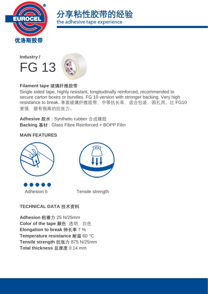





#### **Filament tape 玻璃纤维胶带**

Single sided tape, highly resistant, longitudinally reinforced, recommended to secure carton boxes or bundles. FG 10 version with stronger backing. Very high resistance to break. 单面玻璃纤维胶带, 中等抗长率, 适合包装, 困扎用。比 FG10 更强,据有很高的抗张力。

**Adhesive 胶水** : Synthetic rubber 合成橡胶 **Backing 基材** : Glass Fibre Reinforced + BOPP Film

#### **MAIN FEATURES**





Adhesion 5 Tensile strength

#### **TECHNICAL DATA 技术资料**

**Adhesion 粘着力** 25 N/25mm **Color of the tape 颜色** 透明, 白色 **Elongation to break 伸长率** 7 % **Temperature resistance 耐温** 60 °C **Tensile strength 抗张力** 875 N/25mm **Total thickness 总厚度** 0.14 mm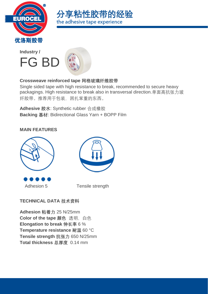





#### **Crossweave reinforced tape 网格玻璃纤维胶带**

Single sided tape with high resistance to break, recommended to secure heavy packagings. High resistance to break also in transversal direction.单面高抗张力玻 纤胶带。推荐用于包装,困扎笨重的东西。

**Adhesive 胶水**: Synthetic rubber 合成橡胶 **Backing 基材**: Bidirectional Glass Yarn + BOPP Film

#### **MAIN FEATURES**





Adhesion 5 Tensile strength

# **TECHNICAL DATA 技术资料**

**Adhesion 粘着力** 25 N/25mm **Color of the tape 颜色** 透明, 白色 **Elongation to break 伸长率** 6 % **Temperature resistance 耐温** 60 °C **Tensile strength 抗张力** 650 N/25mm **Total thickness 总厚度** 0.14 mm